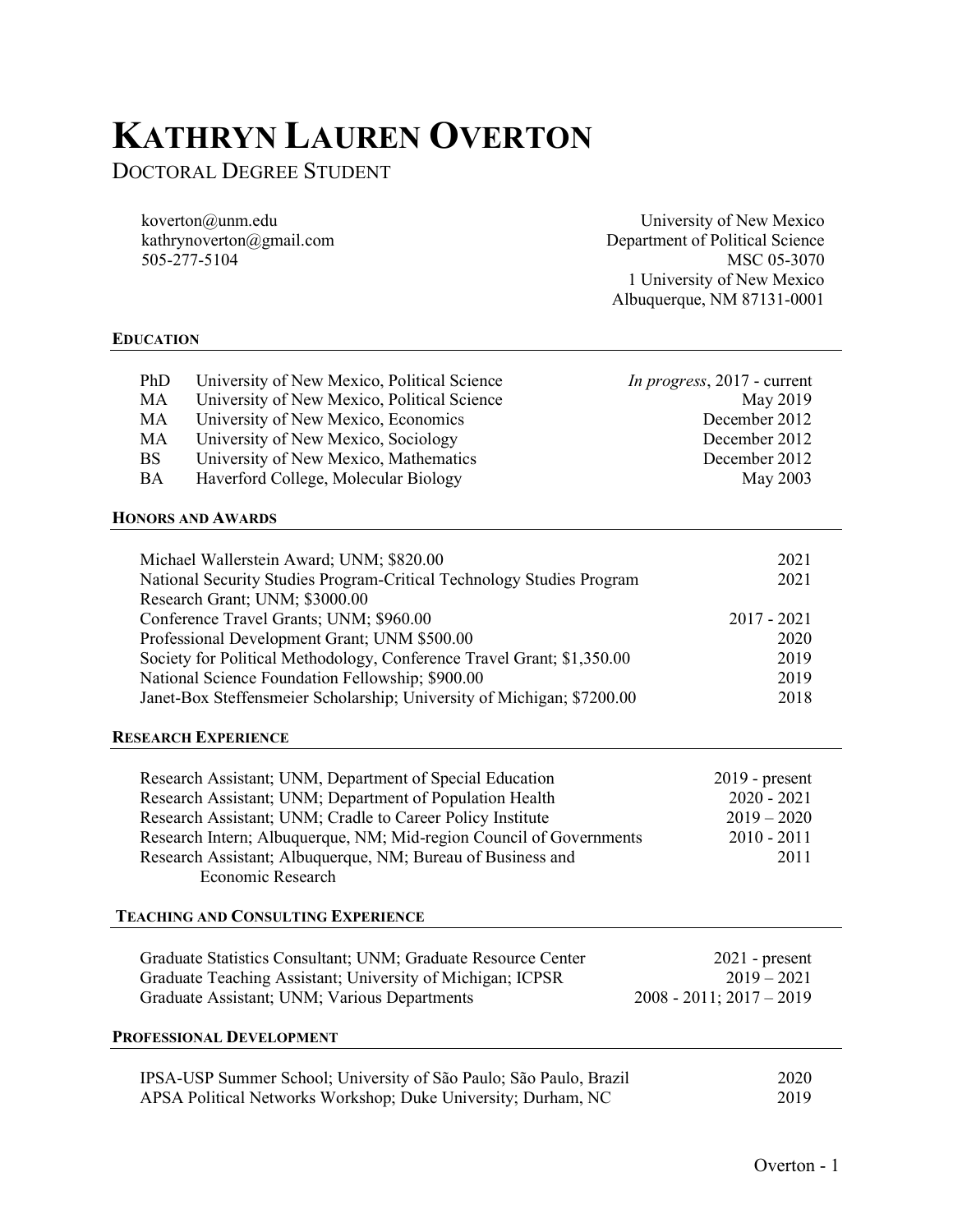# KATHRYN LAUREN OVERTON

DOCTORAL DEGREE STUDENT

koverton@unm.edu kathrynoverton@gmail.com 505-277-5104

University of New Mexico Department of Political Science MSC 05-3070 1 University of New Mexico Albuquerque, NM 87131-0001

# EDUCATION

| PhD       | University of New Mexico, Political Science | <i>In progress</i> , 2017 - current |
|-----------|---------------------------------------------|-------------------------------------|
| MA        | University of New Mexico, Political Science | May 2019                            |
| MA        | University of New Mexico, Economics         | December 2012                       |
| MA        | University of New Mexico, Sociology         | December 2012                       |
| <b>BS</b> | University of New Mexico, Mathematics       | December 2012                       |
| BA        | Haverford College, Molecular Biology        | May 2003                            |

## HONORS AND AWARDS

| Michael Wallerstein Award; UNM; \$820.00                               | 2021          |
|------------------------------------------------------------------------|---------------|
| National Security Studies Program-Critical Technology Studies Program  | 2021          |
| Research Grant; UNM; \$3000.00                                         |               |
| Conference Travel Grants; UNM; \$960.00                                | $2017 - 2021$ |
| Professional Development Grant; UNM \$500.00                           | 2020          |
| Society for Political Methodology, Conference Travel Grant; \$1,350.00 | 2019          |
| National Science Foundation Fellowship; \$900.00                       | 2019          |
| Janet-Box Steffensmeier Scholarship; University of Michigan; \$7200.00 | 2018          |

#### RESEARCH EXPERIENCE

| Research Assistant; UNM, Department of Special Education            | $2019$ - present |
|---------------------------------------------------------------------|------------------|
| Research Assistant; UNM; Department of Population Health            | $2020 - 2021$    |
| Research Assistant; UNM; Cradle to Career Policy Institute          | $2019 - 2020$    |
| Research Intern; Albuquerque, NM; Mid-region Council of Governments | $2010 - 2011$    |
| Research Assistant; Albuquerque, NM; Bureau of Business and         | 2011             |
| Economic Research                                                   |                  |

## TEACHING AND CONSULTING EXPERIENCE

| Graduate Statistics Consultant; UNM; Graduate Resource Center<br>Graduate Teaching Assistant; University of Michigan; ICPSR<br>Graduate Assistant; UNM; Various Departments | $2021$ - present<br>$2019 - 2021$<br>$2008 - 2011$ ; $2017 - 2019$ |
|-----------------------------------------------------------------------------------------------------------------------------------------------------------------------------|--------------------------------------------------------------------|
| PROFESSIONAL DEVELOPMENT                                                                                                                                                    |                                                                    |
| IPSA-USP Summer School; University of São Paulo; São Paulo, Brazil                                                                                                          | 2020                                                               |
| APSA Political Networks Workshop; Duke University; Durham, NC                                                                                                               | 2019                                                               |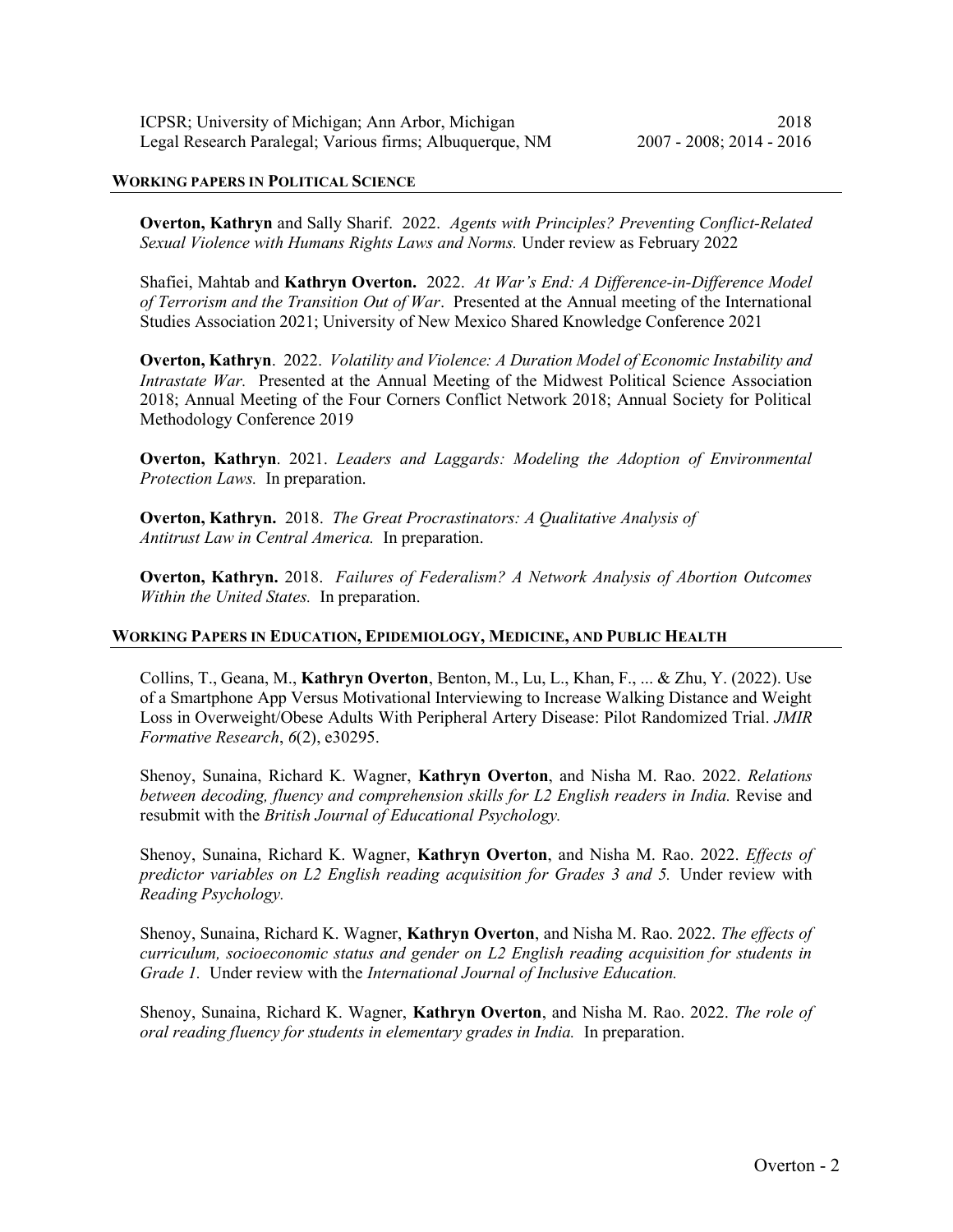### WORKING PAPERS IN POLITICAL SCIENCE

Overton, Kathryn and Sally Sharif. 2022. Agents with Principles? Preventing Conflict-Related Sexual Violence with Humans Rights Laws and Norms. Under review as February 2022

Shafiei, Mahtab and Kathryn Overton. 2022. At War's End: A Difference-in-Difference Model of Terrorism and the Transition Out of War. Presented at the Annual meeting of the International Studies Association 2021; University of New Mexico Shared Knowledge Conference 2021

Overton, Kathryn. 2022. Volatility and Violence: A Duration Model of Economic Instability and Intrastate War. Presented at the Annual Meeting of the Midwest Political Science Association 2018; Annual Meeting of the Four Corners Conflict Network 2018; Annual Society for Political Methodology Conference 2019

Overton, Kathryn. 2021. Leaders and Laggards: Modeling the Adoption of Environmental Protection Laws. In preparation.

Overton, Kathryn. 2018. The Great Procrastinators: A Qualitative Analysis of Antitrust Law in Central America. In preparation.

**Overton, Kathryn.** 2018. Failures of Federalism? A Network Analysis of Abortion Outcomes Within the United States. In preparation.

# WORKING PAPERS IN EDUCATION, EPIDEMIOLOGY, MEDICINE, AND PUBLIC HEALTH

Collins, T., Geana, M., Kathryn Overton, Benton, M., Lu, L., Khan, F., ... & Zhu, Y. (2022). Use of a Smartphone App Versus Motivational Interviewing to Increase Walking Distance and Weight Loss in Overweight/Obese Adults With Peripheral Artery Disease: Pilot Randomized Trial. JMIR Formative Research, 6(2), e30295.

Shenoy, Sunaina, Richard K. Wagner, Kathryn Overton, and Nisha M. Rao. 2022. Relations between decoding, fluency and comprehension skills for L2 English readers in India. Revise and resubmit with the British Journal of Educational Psychology.

Shenoy, Sunaina, Richard K. Wagner, Kathryn Overton, and Nisha M. Rao. 2022. Effects of predictor variables on L2 English reading acquisition for Grades 3 and 5. Under review with Reading Psychology.

Shenoy, Sunaina, Richard K. Wagner, Kathryn Overton, and Nisha M. Rao. 2022. The effects of curriculum, socioeconomic status and gender on L2 English reading acquisition for students in Grade 1. Under review with the International Journal of Inclusive Education.

Shenoy, Sunaina, Richard K. Wagner, Kathryn Overton, and Nisha M. Rao. 2022. The role of oral reading fluency for students in elementary grades in India. In preparation.